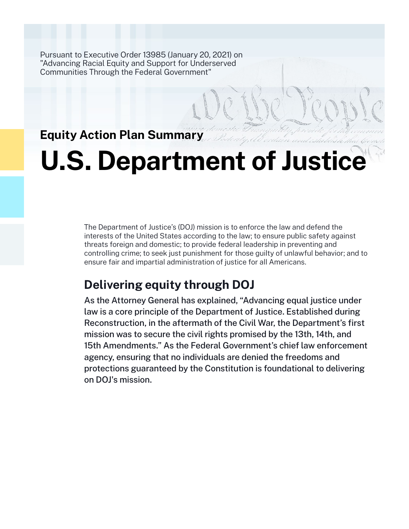Pursuant to Executive Order 13985 (January 20, 2021) on "Advancing Racial Equity and Support for Underserved Communities Through the Federal Government"

# **Equity Action Plan Summary**

# **U.S. Department of Justice**

The Department of Justice's (DOJ) mission is to enforce the law and defend the interests of the United States according to the law; to ensure public safety against threats foreign and domestic; to provide federal leadership in preventing and controlling crime; to seek just punishment for those guilty of unlawful behavior; and to ensure fair and impartial administration of justice for all Americans.

# **Delivering equity through DOJ**

As the Attorney General has explained, "Advancing equal justice under law is a core principle of the Department of Justice. Established during Reconstruction, in the aftermath of the Civil War, the Department's first mission was to secure the civil rights promised by the 13th, 14th, and 15th Amendments." As the Federal Government's chief law enforcement agency, ensuring that no individuals are denied the freedoms and protections guaranteed by the Constitution is foundational to delivering on DOJ's mission.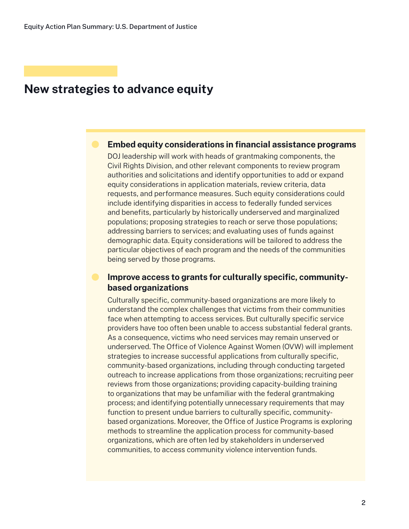# **New strategies to advance equity**

## **Embed equity considerations in financial assistance programs**

DOJ leadership will work with heads of grantmaking components, the Civil Rights Division, and other relevant components to review program authorities and solicitations and identify opportunities to add or expand equity considerations in application materials, review criteria, data requests, and performance measures. Such equity considerations could include identifying disparities in access to federally funded services and benefits, particularly by historically underserved and marginalized populations; proposing strategies to reach or serve those populations; addressing barriers to services; and evaluating uses of funds against demographic data. Equity considerations will be tailored to address the particular objectives of each program and the needs of the communities being served by those programs.

# **Improve access to grants for culturally specific, communitybased organizations**

Culturally specific, community-based organizations are more likely to understand the complex challenges that victims from their communities face when attempting to access services. But culturally specific service providers have too often been unable to access substantial federal grants. As a consequence, victims who need services may remain unserved or underserved. The Office of Violence Against Women (OVW) will implement strategies to increase successful applications from culturally specific, community-based organizations, including through conducting targeted outreach to increase applications from those organizations; recruiting peer reviews from those organizations; providing capacity-building training to organizations that may be unfamiliar with the federal grantmaking process; and identifying potentially unnecessary requirements that may function to present undue barriers to culturally specific, communitybased organizations. Moreover, the Office of Justice Programs is exploring methods to streamline the application process for community-based organizations, which are often led by stakeholders in underserved communities, to access community violence intervention funds.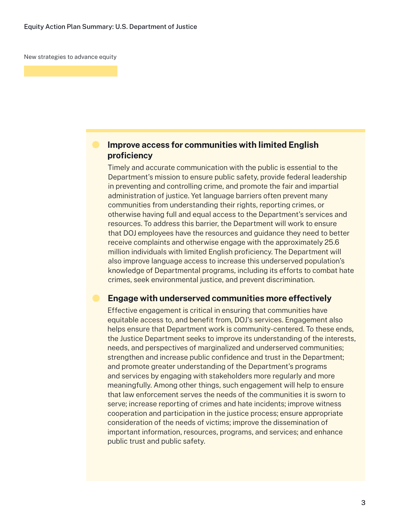New strategies to advance equity

# **Improve access for communities with limited English proficiency**

Timely and accurate communication with the public is essential to the Department's mission to ensure public safety, provide federal leadership in preventing and controlling crime, and promote the fair and impartial administration of justice. Yet language barriers often prevent many communities from understanding their rights, reporting crimes, or otherwise having full and equal access to the Department's services and resources. To address this barrier, the Department will work to ensure that DOJ employees have the resources and guidance they need to better receive complaints and otherwise engage with the approximately 25.6 million individuals with limited English proficiency. The Department will also improve language access to increase this underserved population's knowledge of Departmental programs, including its efforts to combat hate crimes, seek environmental justice, and prevent discrimination.

## **Engage with underserved communities more effectively**

Effective engagement is critical in ensuring that communities have equitable access to, and benefit from, DOJ's services. Engagement also helps ensure that Department work is community-centered. To these ends, the Justice Department seeks to improve its understanding of the interests, needs, and perspectives of marginalized and underserved communities; strengthen and increase public confidence and trust in the Department; and promote greater understanding of the Department's programs and services by engaging with stakeholders more regularly and more meaningfully. Among other things, such engagement will help to ensure that law enforcement serves the needs of the communities it is sworn to serve; increase reporting of crimes and hate incidents; improve witness cooperation and participation in the justice process; ensure appropriate consideration of the needs of victims; improve the dissemination of important information, resources, programs, and services; and enhance public trust and public safety.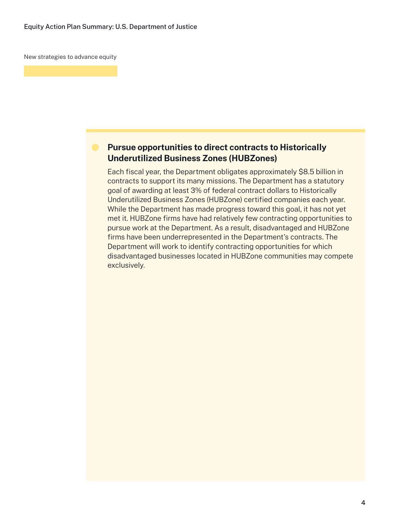New strategies to advance equity

# **Pursue opportunities to direct contracts to Historically Underutilized Business Zones (HUBZones)**

Each fiscal year, the Department obligates approximately \$8.5 billion in contracts to support its many missions. The Department has a statutory goal of awarding at least 3% of federal contract dollars to Historically Underutilized Business Zones (HUBZone) certified companies each year. While the Department has made progress toward this goal, it has not yet met it. HUBZone firms have had relatively few contracting opportunities to pursue work at the Department. As a result, disadvantaged and HUBZone firms have been underrepresented in the Department's contracts. The Department will work to identify contracting opportunities for which disadvantaged businesses located in HUBZone communities may compete exclusively.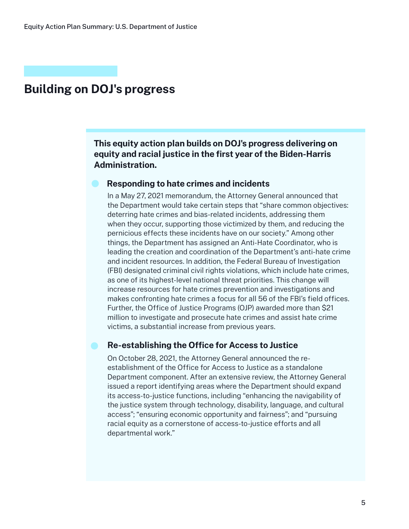# **Building on DOJ's progress**

**This equity action plan builds on DOJ's progress delivering on equity and racial justice in the first year of the Biden-Harris Administration.**

### **Responding to hate crimes and incidents**

In a May 27, 2021 memorandum, the Attorney General announced that the Department would take certain steps that "share common objectives: deterring hate crimes and bias-related incidents, addressing them when they occur, supporting those victimized by them, and reducing the pernicious effects these incidents have on our society." Among other things, the Department has assigned an Anti-Hate Coordinator, who is leading the creation and coordination of the Department's anti-hate crime and incident resources. In addition, the Federal Bureau of Investigation (FBI) designated criminal civil rights violations, which include hate crimes, as one of its highest-level national threat priorities. This change will increase resources for hate crimes prevention and investigations and makes confronting hate crimes a focus for all 56 of the FBI's field offices. Further, the Office of Justice Programs (OJP) awarded more than \$21 million to investigate and prosecute hate crimes and assist hate crime victims, a substantial increase from previous years.

## **Re-establishing the Office for Access to Justice**

On October 28, 2021, the Attorney General announced the reestablishment of the Office for Access to Justice as a standalone Department component. After an extensive review, the Attorney General issued a report identifying areas where the Department should expand its access-to-justice functions, including "enhancing the navigability of the justice system through technology, disability, language, and cultural access"; "ensuring economic opportunity and fairness"; and "pursuing racial equity as a cornerstone of access-to-justice efforts and all departmental work."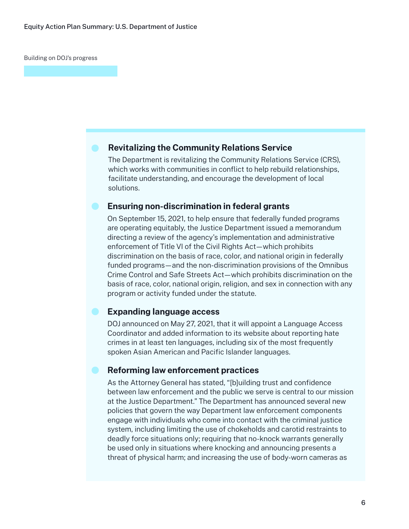Building on DOJ's progress

## **Revitalizing the Community Relations Service**

The Department is revitalizing the Community Relations Service (CRS), which works with communities in conflict to help rebuild relationships, facilitate understanding, and encourage the development of local solutions.

## **Ensuring non-discrimination in federal grants**

On September 15, 2021, to help ensure that federally funded programs are operating equitably, the Justice Department issued a memorandum directing a review of the agency's implementation and administrative enforcement of Title VI of the Civil Rights Act—which prohibits discrimination on the basis of race, color, and national origin in federally funded programs—and the non-discrimination provisions of the Omnibus Crime Control and Safe Streets Act—which prohibits discrimination on the basis of race, color, national origin, religion, and sex in connection with any program or activity funded under the statute.

## **Expanding language access**

DOJ announced on May 27, 2021, that it will appoint a Language Access Coordinator and added information to its website about reporting hate crimes in at least ten languages, including six of the most frequently spoken Asian American and Pacific Islander languages.

## **Reforming law enforcement practices**

As the Attorney General has stated, "[b]uilding trust and confidence between law enforcement and the public we serve is central to our mission at the Justice Department." The Department has announced several new policies that govern the way Department law enforcement components engage with individuals who come into contact with the criminal justice system, including limiting the use of chokeholds and carotid restraints to deadly force situations only; requiring that no-knock warrants generally be used only in situations where knocking and announcing presents a threat of physical harm; and increasing the use of body-worn cameras as